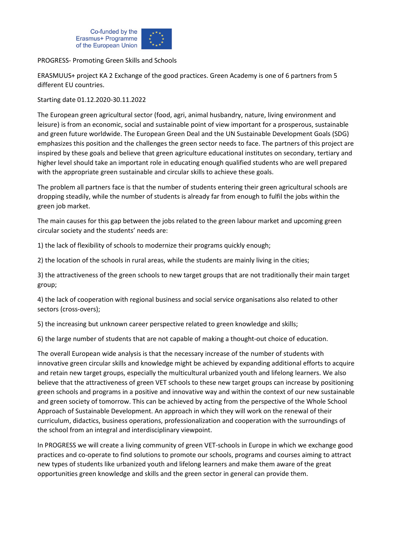

## PROGRESS- Promoting Green Skills and Schools

ERASMUUS+ project KA 2 Exchange of the good practices. Green Academy is one of 6 partners from 5 different EU countries.

Starting date 01.12.2020-30.11.2022

The European green agricultural sector (food, agri, animal husbandry, nature, living environment and leisure) is from an economic, social and sustainable point of view important for a prosperous, sustainable and green future worldwide. The European Green Deal and the UN Sustainable Development Goals (SDG) emphasizes this position and the challenges the green sector needs to face. The partners of this project are inspired by these goals and believe that green agriculture educational institutes on secondary, tertiary and higher level should take an important role in educating enough qualified students who are well prepared with the appropriate green sustainable and circular skills to achieve these goals.

The problem all partners face is that the number of students entering their green agricultural schools are dropping steadily, while the number of students is already far from enough to fulfil the jobs within the green job market.

The main causes for this gap between the jobs related to the green labour market and upcoming green circular society and the students' needs are:

1) the lack of flexibility of schools to modernize their programs quickly enough;

2) the location of the schools in rural areas, while the students are mainly living in the cities;

3) the attractiveness of the green schools to new target groups that are not traditionally their main target group;

4) the lack of cooperation with regional business and social service organisations also related to other sectors (cross-overs);

5) the increasing but unknown career perspective related to green knowledge and skills;

6) the large number of students that are not capable of making a thought-out choice of education.

The overall European wide analysis is that the necessary increase of the number of students with innovative green circular skills and knowledge might be achieved by expanding additional efforts to acquire and retain new target groups, especially the multicultural urbanized youth and lifelong learners. We also believe that the attractiveness of green VET schools to these new target groups can increase by positioning green schools and programs in a positive and innovative way and within the context of our new sustainable and green society of tomorrow. This can be achieved by acting from the perspective of the Whole School Approach of Sustainable Development. An approach in which they will work on the renewal of their curriculum, didactics, business operations, professionalization and cooperation with the surroundings of the school from an integral and interdisciplinary viewpoint.

In PROGRESS we will create a living community of green VET-schools in Europe in which we exchange good practices and co-operate to find solutions to promote our schools, programs and courses aiming to attract new types of students like urbanized youth and lifelong learners and make them aware of the great opportunities green knowledge and skills and the green sector in general can provide them.